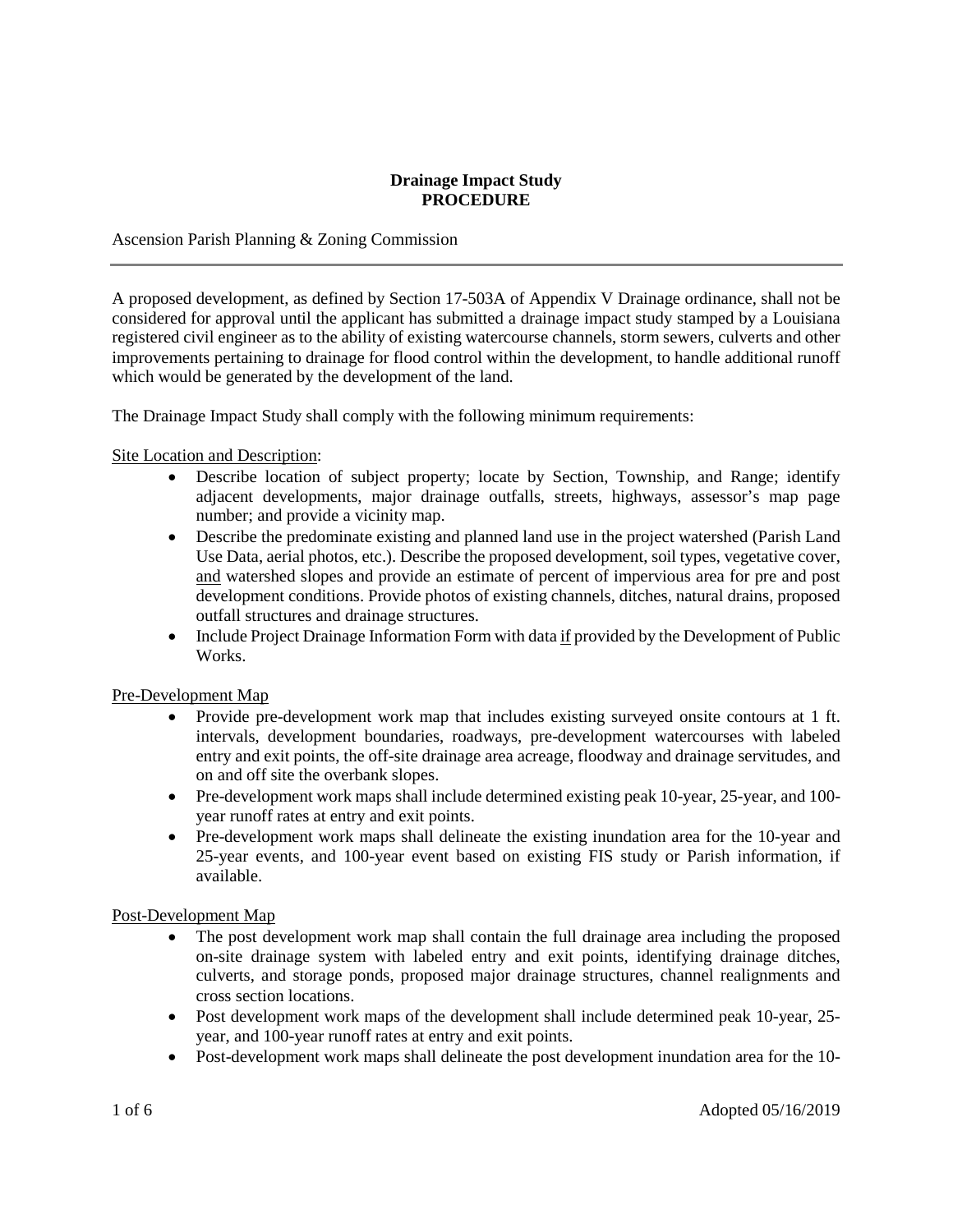#### **Drainage Impact Study PROCEDURE**

Ascension Parish Planning & Zoning Commission

A proposed development, as defined by Section 17-503A of Appendix V Drainage ordinance, shall not be considered for approval until the applicant has submitted a drainage impact study stamped by a Louisiana registered civil engineer as to the ability of existing watercourse channels, storm sewers, culverts and other improvements pertaining to drainage for flood control within the development, to handle additional runoff which would be generated by the development of the land.

The Drainage Impact Study shall comply with the following minimum requirements:

# Site Location and Description:

- Describe location of subject property; locate by Section, Township, and Range; identify adjacent developments, major drainage outfalls, streets, highways, assessor's map page number; and provide a vicinity map.
- Describe the predominate existing and planned land use in the project watershed (Parish Land Use Data, aerial photos, etc.). Describe the proposed development, soil types, vegetative cover, and watershed slopes and provide an estimate of percent of impervious area for pre and post development conditions. Provide photos of existing channels, ditches, natural drains, proposed outfall structures and drainage structures.
- Include Project Drainage Information Form with data if provided by the Development of Public Works.

### Pre-Development Map

- Provide pre-development work map that includes existing surveyed onsite contours at 1 ft. intervals, development boundaries, roadways, pre-development watercourses with labeled entry and exit points, the off-site drainage area acreage, floodway and drainage servitudes, and on and off site the overbank slopes.
- Pre-development work maps shall include determined existing peak 10-year, 25-year, and 100year runoff rates at entry and exit points.
- Pre-development work maps shall delineate the existing inundation area for the 10-year and 25-year events, and 100-year event based on existing FIS study or Parish information, if available.

### Post-Development Map

- The post development work map shall contain the full drainage area including the proposed on-site drainage system with labeled entry and exit points, identifying drainage ditches, culverts, and storage ponds, proposed major drainage structures, channel realignments and cross section locations.
- Post development work maps of the development shall include determined peak 10-year, 25year, and 100-year runoff rates at entry and exit points.
- Post-development work maps shall delineate the post development inundation area for the 10-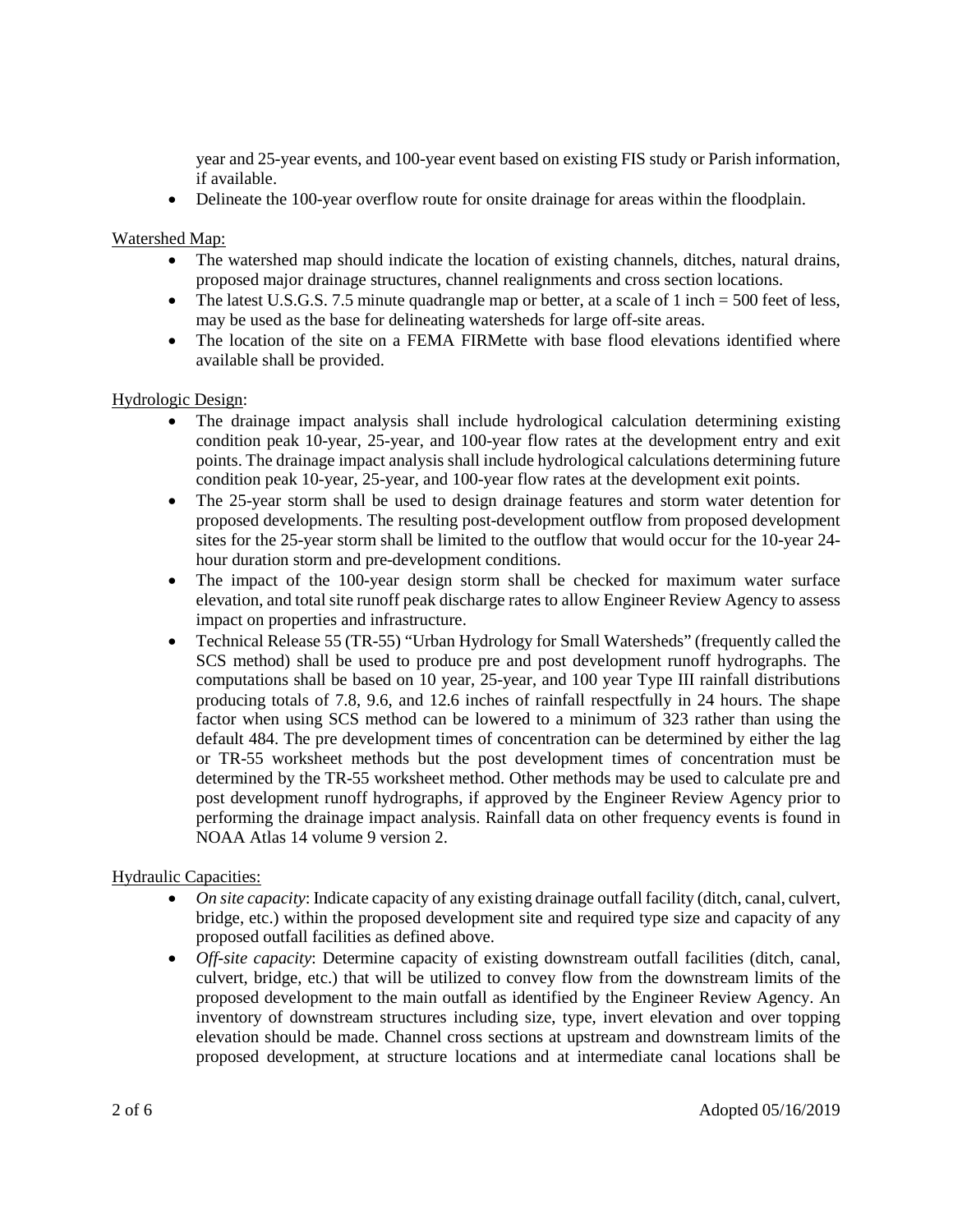year and 25-year events, and 100-year event based on existing FIS study or Parish information, if available.

• Delineate the 100-year overflow route for onsite drainage for areas within the floodplain.

# Watershed Map:

- The watershed map should indicate the location of existing channels, ditches, natural drains, proposed major drainage structures, channel realignments and cross section locations.
- The latest U.S.G.S. 7.5 minute quadrangle map or better, at a scale of 1 inch  $= 500$  feet of less, may be used as the base for delineating watersheds for large off-site areas.
- The location of the site on a FEMA FIRMette with base flood elevations identified where available shall be provided.

### Hydrologic Design:

- The drainage impact analysis shall include hydrological calculation determining existing condition peak 10-year, 25-year, and 100-year flow rates at the development entry and exit points. The drainage impact analysis shall include hydrological calculations determining future condition peak 10-year, 25-year, and 100-year flow rates at the development exit points.
- The 25-year storm shall be used to design drainage features and storm water detention for proposed developments. The resulting post-development outflow from proposed development sites for the 25-year storm shall be limited to the outflow that would occur for the 10-year 24 hour duration storm and pre-development conditions.
- The impact of the 100-year design storm shall be checked for maximum water surface elevation, and total site runoff peak discharge rates to allow Engineer Review Agency to assess impact on properties and infrastructure.
- Technical Release 55 (TR-55) "Urban Hydrology for Small Watersheds" (frequently called the SCS method) shall be used to produce pre and post development runoff hydrographs. The computations shall be based on 10 year, 25-year, and 100 year Type III rainfall distributions producing totals of 7.8, 9.6, and 12.6 inches of rainfall respectfully in 24 hours. The shape factor when using SCS method can be lowered to a minimum of 323 rather than using the default 484. The pre development times of concentration can be determined by either the lag or TR-55 worksheet methods but the post development times of concentration must be determined by the TR-55 worksheet method. Other methods may be used to calculate pre and post development runoff hydrographs, if approved by the Engineer Review Agency prior to performing the drainage impact analysis. Rainfall data on other frequency events is found in NOAA Atlas 14 volume 9 version 2.

### Hydraulic Capacities:

- *On site capacity*: Indicate capacity of any existing drainage outfall facility (ditch, canal, culvert, bridge, etc.) within the proposed development site and required type size and capacity of any proposed outfall facilities as defined above.
- *Off-site capacity*: Determine capacity of existing downstream outfall facilities (ditch, canal, culvert, bridge, etc.) that will be utilized to convey flow from the downstream limits of the proposed development to the main outfall as identified by the Engineer Review Agency. An inventory of downstream structures including size, type, invert elevation and over topping elevation should be made. Channel cross sections at upstream and downstream limits of the proposed development, at structure locations and at intermediate canal locations shall be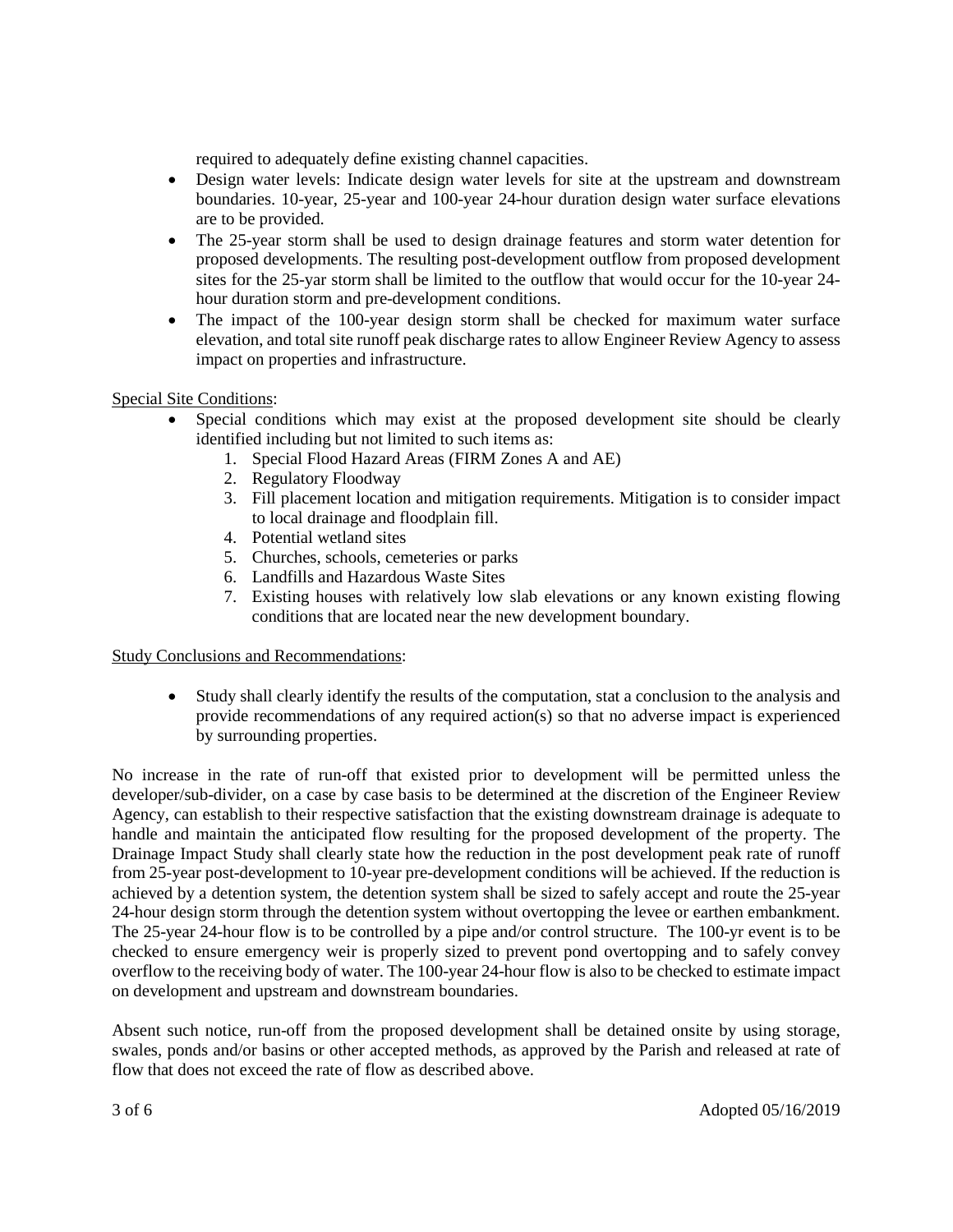required to adequately define existing channel capacities.

- Design water levels: Indicate design water levels for site at the upstream and downstream boundaries. 10-year, 25-year and 100-year 24-hour duration design water surface elevations are to be provided.
- The 25-year storm shall be used to design drainage features and storm water detention for proposed developments. The resulting post-development outflow from proposed development sites for the 25-yar storm shall be limited to the outflow that would occur for the 10-year 24 hour duration storm and pre-development conditions.
- The impact of the 100-year design storm shall be checked for maximum water surface elevation, and total site runoff peak discharge rates to allow Engineer Review Agency to assess impact on properties and infrastructure.

# Special Site Conditions:

- Special conditions which may exist at the proposed development site should be clearly identified including but not limited to such items as:
	- 1. Special Flood Hazard Areas (FIRM Zones A and AE)
	- 2. Regulatory Floodway
	- 3. Fill placement location and mitigation requirements. Mitigation is to consider impact to local drainage and floodplain fill.
	- 4. Potential wetland sites
	- 5. Churches, schools, cemeteries or parks
	- 6. Landfills and Hazardous Waste Sites
	- 7. Existing houses with relatively low slab elevations or any known existing flowing conditions that are located near the new development boundary.

### Study Conclusions and Recommendations:

• Study shall clearly identify the results of the computation, stat a conclusion to the analysis and provide recommendations of any required action(s) so that no adverse impact is experienced by surrounding properties.

No increase in the rate of run-off that existed prior to development will be permitted unless the developer/sub-divider, on a case by case basis to be determined at the discretion of the Engineer Review Agency, can establish to their respective satisfaction that the existing downstream drainage is adequate to handle and maintain the anticipated flow resulting for the proposed development of the property. The Drainage Impact Study shall clearly state how the reduction in the post development peak rate of runoff from 25-year post-development to 10-year pre-development conditions will be achieved. If the reduction is achieved by a detention system, the detention system shall be sized to safely accept and route the 25-year 24-hour design storm through the detention system without overtopping the levee or earthen embankment. The 25-year 24-hour flow is to be controlled by a pipe and/or control structure. The 100-yr event is to be checked to ensure emergency weir is properly sized to prevent pond overtopping and to safely convey overflow to the receiving body of water. The 100-year 24-hour flow is also to be checked to estimate impact on development and upstream and downstream boundaries.

Absent such notice, run-off from the proposed development shall be detained onsite by using storage, swales, ponds and/or basins or other accepted methods, as approved by the Parish and released at rate of flow that does not exceed the rate of flow as described above.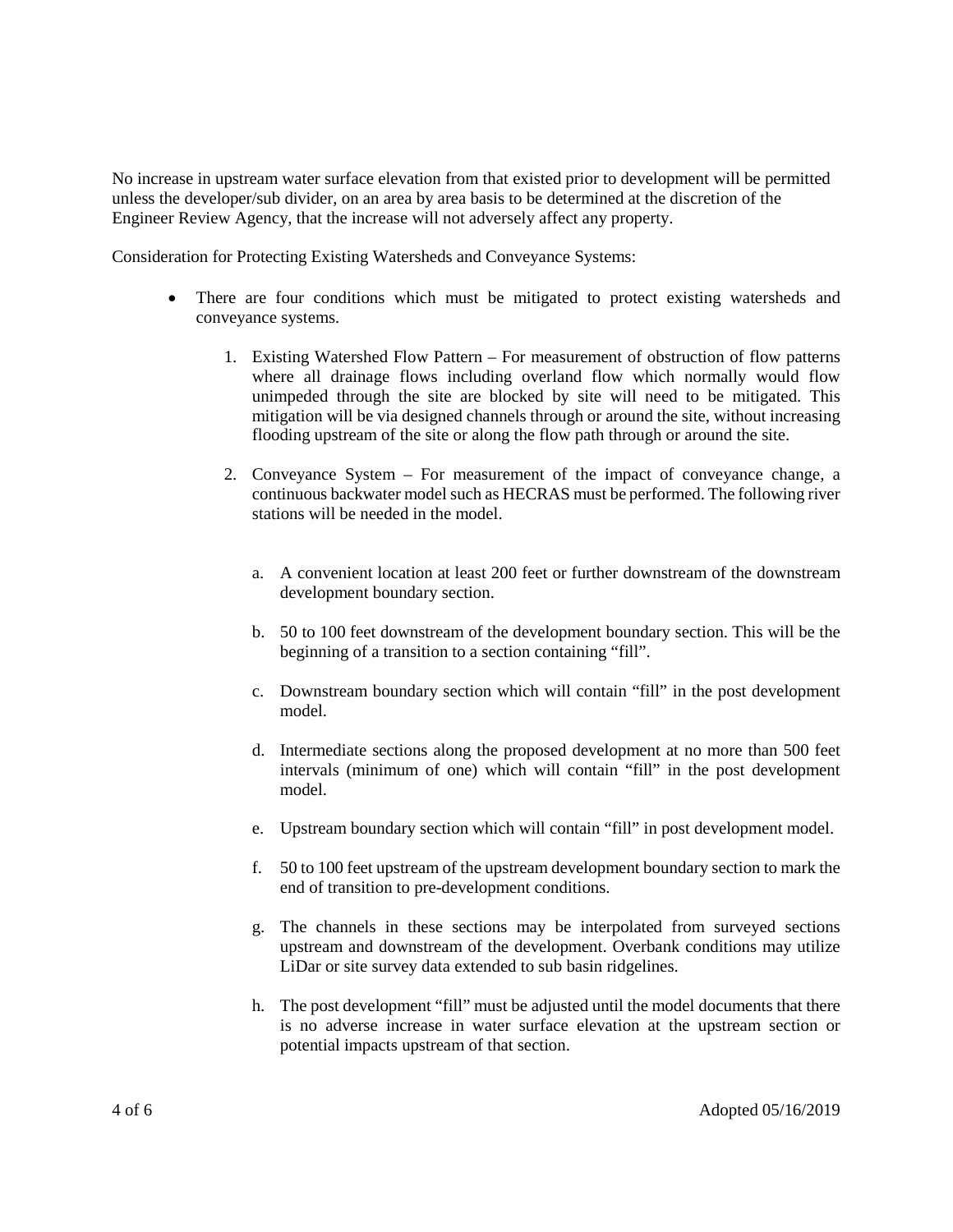No increase in upstream water surface elevation from that existed prior to development will be permitted unless the developer/sub divider, on an area by area basis to be determined at the discretion of the Engineer Review Agency, that the increase will not adversely affect any property.

Consideration for Protecting Existing Watersheds and Conveyance Systems:

- There are four conditions which must be mitigated to protect existing watersheds and conveyance systems.
	- 1. Existing Watershed Flow Pattern For measurement of obstruction of flow patterns where all drainage flows including overland flow which normally would flow unimpeded through the site are blocked by site will need to be mitigated. This mitigation will be via designed channels through or around the site, without increasing flooding upstream of the site or along the flow path through or around the site.
	- 2. Conveyance System For measurement of the impact of conveyance change, a continuous backwater model such as HECRAS must be performed. The following river stations will be needed in the model.
		- a. A convenient location at least 200 feet or further downstream of the downstream development boundary section.
		- b. 50 to 100 feet downstream of the development boundary section. This will be the beginning of a transition to a section containing "fill".
		- c. Downstream boundary section which will contain "fill" in the post development model.
		- d. Intermediate sections along the proposed development at no more than 500 feet intervals (minimum of one) which will contain "fill" in the post development model.
		- e. Upstream boundary section which will contain "fill" in post development model.
		- f. 50 to 100 feet upstream of the upstream development boundary section to mark the end of transition to pre-development conditions.
		- g. The channels in these sections may be interpolated from surveyed sections upstream and downstream of the development. Overbank conditions may utilize LiDar or site survey data extended to sub basin ridgelines.
		- h. The post development "fill" must be adjusted until the model documents that there is no adverse increase in water surface elevation at the upstream section or potential impacts upstream of that section.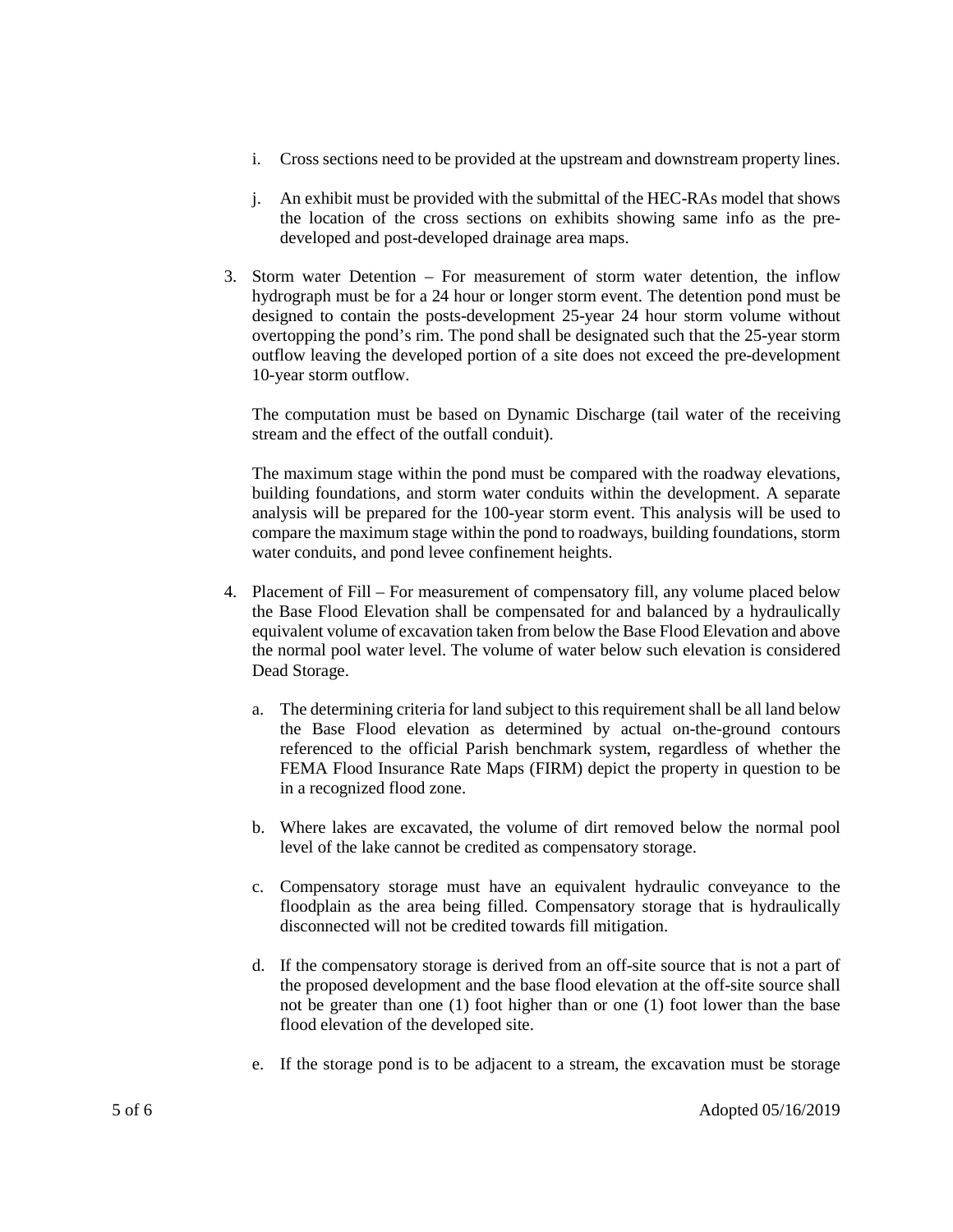- i. Cross sections need to be provided at the upstream and downstream property lines.
- j. An exhibit must be provided with the submittal of the HEC-RAs model that shows the location of the cross sections on exhibits showing same info as the predeveloped and post-developed drainage area maps.
- 3. Storm water Detention For measurement of storm water detention, the inflow hydrograph must be for a 24 hour or longer storm event. The detention pond must be designed to contain the posts-development 25-year 24 hour storm volume without overtopping the pond's rim. The pond shall be designated such that the 25-year storm outflow leaving the developed portion of a site does not exceed the pre-development 10-year storm outflow.

The computation must be based on Dynamic Discharge (tail water of the receiving stream and the effect of the outfall conduit).

The maximum stage within the pond must be compared with the roadway elevations, building foundations, and storm water conduits within the development. A separate analysis will be prepared for the 100-year storm event. This analysis will be used to compare the maximum stage within the pond to roadways, building foundations, storm water conduits, and pond levee confinement heights.

- 4. Placement of Fill For measurement of compensatory fill, any volume placed below the Base Flood Elevation shall be compensated for and balanced by a hydraulically equivalent volume of excavation taken from below the Base Flood Elevation and above the normal pool water level. The volume of water below such elevation is considered Dead Storage.
	- a. The determining criteria for land subject to this requirement shall be all land below the Base Flood elevation as determined by actual on-the-ground contours referenced to the official Parish benchmark system, regardless of whether the FEMA Flood Insurance Rate Maps (FIRM) depict the property in question to be in a recognized flood zone.
	- b. Where lakes are excavated, the volume of dirt removed below the normal pool level of the lake cannot be credited as compensatory storage.
	- c. Compensatory storage must have an equivalent hydraulic conveyance to the floodplain as the area being filled. Compensatory storage that is hydraulically disconnected will not be credited towards fill mitigation.
	- d. If the compensatory storage is derived from an off-site source that is not a part of the proposed development and the base flood elevation at the off-site source shall not be greater than one (1) foot higher than or one (1) foot lower than the base flood elevation of the developed site.
	- e. If the storage pond is to be adjacent to a stream, the excavation must be storage